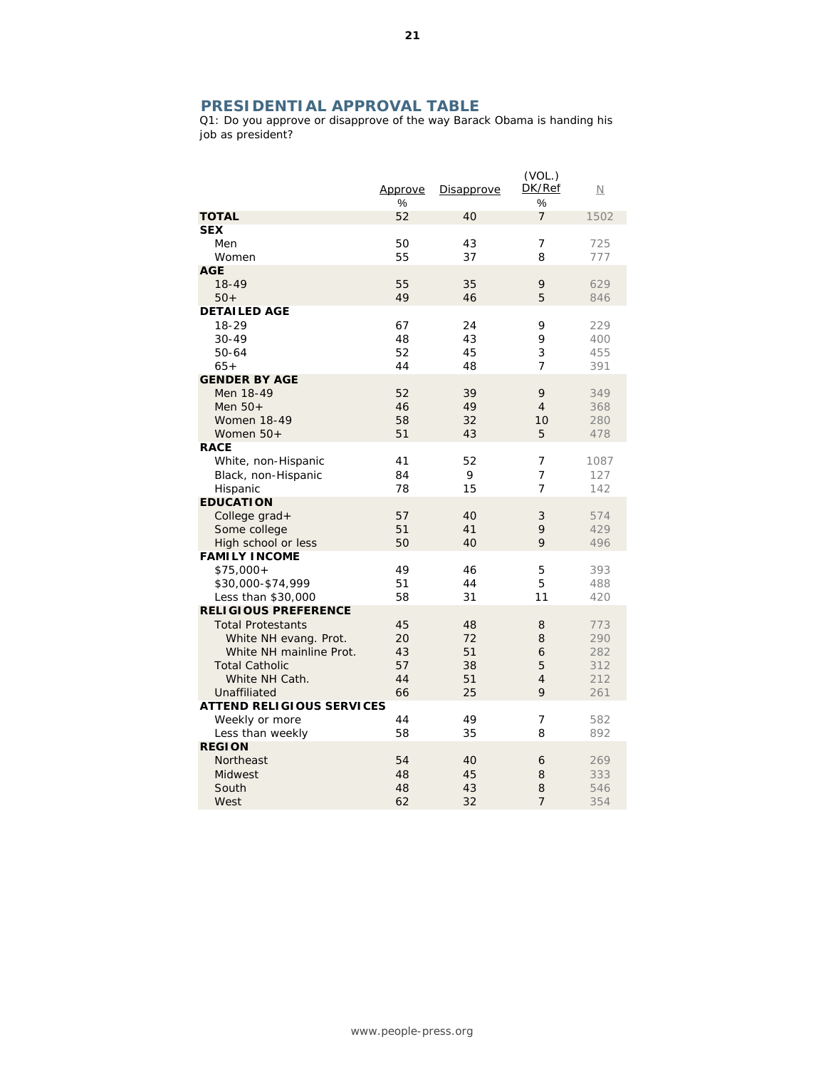## **PRESIDENTIAL APPROVAL TABLE**

Q1: Do you approve or disapprove of the way Barack Obama is handing his job as president?

|                                                                                                                                                                        | Approve<br>%                     | Disapprove                       | (VOL.)<br>DK/Ref<br>%                   | $\overline{\mathsf{N}}$                |
|------------------------------------------------------------------------------------------------------------------------------------------------------------------------|----------------------------------|----------------------------------|-----------------------------------------|----------------------------------------|
| <b>TOTAL</b>                                                                                                                                                           | 52                               | 40                               | $\overline{7}$                          | 1502                                   |
| <b>SEX</b><br>Men<br>Women                                                                                                                                             | 50<br>55                         | 43<br>37                         | $\overline{7}$<br>8                     | 725<br>777                             |
| <b>AGE</b><br>18-49<br>$50+$                                                                                                                                           | 55<br>49                         | 35<br>46                         | 9<br>5                                  | 629<br>846                             |
| <b>DETAILED AGE</b><br>18-29<br>$30 - 49$<br>50-64<br>$65+$                                                                                                            | 67<br>48<br>52<br>44             | 24<br>43<br>45<br>48             | 9<br>9<br>3<br>7                        | 229<br>400<br>455<br>391               |
| <b>GENDER BY AGE</b><br>Men 18-49<br>Men $50+$<br><b>Women 18-49</b><br>Women $50+$                                                                                    | 52<br>46<br>58<br>51             | 39<br>49<br>32<br>43             | 9<br>$\overline{4}$<br>10<br>5          | 349<br>368<br>280<br>478               |
| <b>RACE</b><br>White, non-Hispanic<br>Black, non-Hispanic<br>Hispanic                                                                                                  | 41<br>84<br>78                   | 52<br>9<br>15                    | 7<br>7<br>7                             | 1087<br>127<br>142                     |
| <b>EDUCATION</b><br>College grad+<br>Some college<br>High school or less                                                                                               | 57<br>51<br>50                   | 40<br>41<br>40                   | 3<br>9<br>9                             | 574<br>429<br>496                      |
| <b>FAMILY INCOME</b><br>$$75,000+$<br>\$30,000-\$74,999<br>Less than \$30,000                                                                                          | 49<br>51<br>58                   | 46<br>44<br>31                   | 5<br>5<br>11                            | 393<br>488<br>420                      |
| <b>RELIGIOUS PREFERENCE</b><br><b>Total Protestants</b><br>White NH evang. Prot.<br>White NH mainline Prot.<br><b>Total Catholic</b><br>White NH Cath.<br>Unaffiliated | 45<br>20<br>43<br>57<br>44<br>66 | 48<br>72<br>51<br>38<br>51<br>25 | 8<br>8<br>6<br>5<br>$\overline{4}$<br>9 | 773<br>290<br>282<br>312<br>212<br>261 |
| <b>ATTEND RELIGIOUS SERVICES</b><br>Weekly or more<br>Less than weekly                                                                                                 | 44<br>58                         | 49<br>35                         | 7<br>8                                  | 582<br>892                             |
| <b>REGION</b><br>Northeast<br>Midwest<br>South<br>West                                                                                                                 | 54<br>48<br>48<br>62             | 40<br>45<br>43<br>32             | 6<br>8<br>8<br>$\overline{7}$           | 269<br>333<br>546<br>354               |